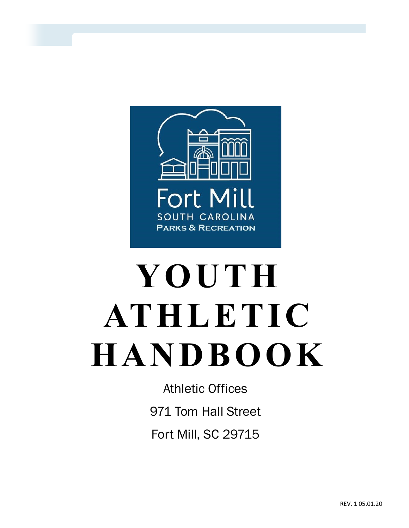

# **YOUTH ATHLETIC HANDBOOK**

Athletic Offices 971 Tom Hall Street Fort Mill, SC 29715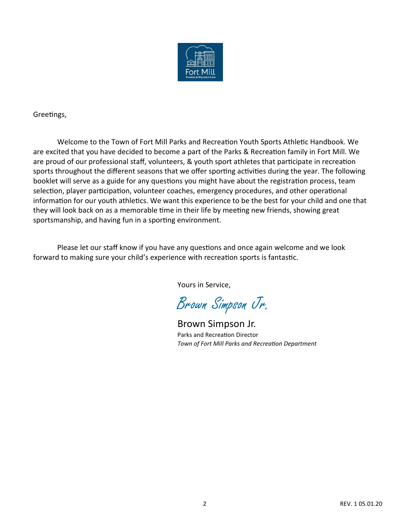

Greetings,

Welcome to the Town of Fort Mill Parks and Recreation Youth Sports Athletic Handbook. We are excited that you have decided to become a part of the Parks & Recreation family in Fort Mill. We are proud of our professional staff, volunteers, & youth sport athletes that participate in recreation sports throughout the different seasons that we offer sporting activities during the year. The following booklet will serve as a guide for any questions you might have about the registration process, team selection, player participation, volunteer coaches, emergency procedures, and other operational information for our youth athletics. We want this experience to be the best for your child and one that they will look back on as a memorable time in their life by meeting new friends, showing great sportsmanship, and having fun in a sporting environment.

Please let our staff know if you have any questions and once again welcome and we look forward to making sure your child's experience with recreation sports is fantastic.

Yours in Service,

Brown Simpson Jr.

Brown Simpson Jr. Parks and Recreation Director *Town of Fort Mill Parks and Recreation Department*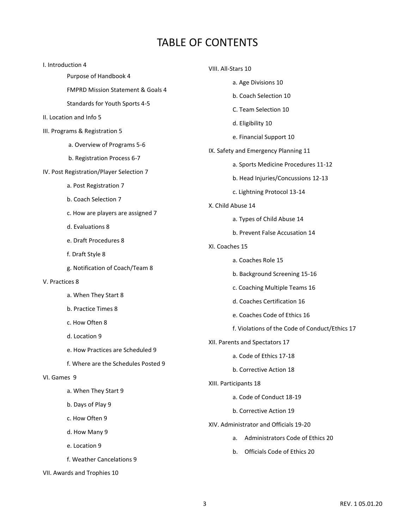## TABLE OF CONTENTS

| I. Introduction 4                        | VIII. All-Stars 10<br>a. Age Divisions 10                                                                                                                                                                       |  |
|------------------------------------------|-----------------------------------------------------------------------------------------------------------------------------------------------------------------------------------------------------------------|--|
| Purpose of Handbook 4                    |                                                                                                                                                                                                                 |  |
| FMPRD Mission Statement & Goals 4        | b. Coach Selection 10                                                                                                                                                                                           |  |
| Standards for Youth Sports 4-5           | C. Team Selection 10                                                                                                                                                                                            |  |
| II. Location and Info 5                  |                                                                                                                                                                                                                 |  |
| III. Programs & Registration 5           | d. Eligibility 10                                                                                                                                                                                               |  |
| a. Overview of Programs 5-6              | e. Financial Support 10                                                                                                                                                                                         |  |
| b. Registration Process 6-7              | IX. Safety and Emergency Planning 11                                                                                                                                                                            |  |
| IV. Post Registration/Player Selection 7 | a. Sports Medicine Procedures 11-12<br>b. Head Injuries/Concussions 12-13<br>c. Lightning Protocol 13-14<br>X. Child Abuse 14<br>a. Types of Child Abuse 14<br>b. Prevent False Accusation 14<br>XI. Coaches 15 |  |
| a. Post Registration 7                   |                                                                                                                                                                                                                 |  |
| b. Coach Selection 7                     |                                                                                                                                                                                                                 |  |
| c. How are players are assigned 7        |                                                                                                                                                                                                                 |  |
| d. Evaluations 8                         |                                                                                                                                                                                                                 |  |
| e. Draft Procedures 8                    |                                                                                                                                                                                                                 |  |
| f. Draft Style 8                         |                                                                                                                                                                                                                 |  |
|                                          | a. Coaches Role 15                                                                                                                                                                                              |  |
| g. Notification of Coach/Team 8          | b. Background Screening 15-16                                                                                                                                                                                   |  |
| V. Practices 8                           | c. Coaching Multiple Teams 16<br>d. Coaches Certification 16<br>e. Coaches Code of Ethics 16<br>f. Violations of the Code of Conduct/Ethics 17<br>XII. Parents and Spectators 17<br>a. Code of Ethics 17-18     |  |
| a. When They Start 8                     |                                                                                                                                                                                                                 |  |
| b. Practice Times 8                      |                                                                                                                                                                                                                 |  |
| c. How Often 8                           |                                                                                                                                                                                                                 |  |
| d. Location 9                            |                                                                                                                                                                                                                 |  |
| e. How Practices are Scheduled 9         |                                                                                                                                                                                                                 |  |
| f. Where are the Schedules Posted 9      | b. Corrective Action 18                                                                                                                                                                                         |  |
| VI. Games 9                              | XIII. Participants 18                                                                                                                                                                                           |  |
| a. When They Start 9                     | a. Code of Conduct 18-19                                                                                                                                                                                        |  |
| b. Days of Play 9                        | b. Corrective Action 19                                                                                                                                                                                         |  |
| c. How Often 9                           | XIV. Administrator and Officials 19-20                                                                                                                                                                          |  |
| d. How Many 9                            |                                                                                                                                                                                                                 |  |
| e. Location 9                            | Administrators Code of Ethics 20<br>a.                                                                                                                                                                          |  |
| f. Weather Cancelations 9                | Officials Code of Ethics 20<br>b.                                                                                                                                                                               |  |
| VII. Awards and Trophies 10              |                                                                                                                                                                                                                 |  |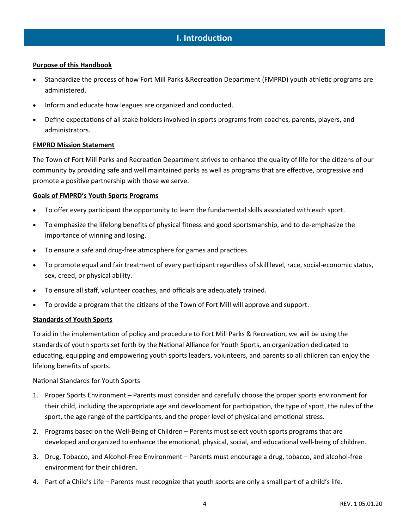## **I. Introduction**

#### **Purpose of this Handbook**

- Standardize the process of how Fort Mill Parks &Recreation Department (FMPRD) youth athletic programs are administered.
- Inform and educate how leagues are organized and conducted.
- Define expectations of all stake holders involved in sports programs from coaches, parents, players, and administrators.

#### **FMPRD Mission Statement**

The Town of Fort Mill Parks and Recreation Department strives to enhance the quality of life for the citizens of our community by providing safe and well maintained parks as well as programs that are effective, progressive and promote a positive partnership with those we serve.

#### **Goals of FMPRD's Youth Sports Programs**

- To offer every participant the opportunity to learn the fundamental skills associated with each sport.
- To emphasize the lifelong benefits of physical fitness and good sportsmanship, and to de-emphasize the importance of winning and losing.
- To ensure a safe and drug-free atmosphere for games and practices.
- To promote equal and fair treatment of every participant regardless of skill level, race, social-economic status, sex, creed, or physical ability.
- To ensure all staff, volunteer coaches, and officials are adequately trained.
- To provide a program that the citizens of the Town of Fort Mill will approve and support.

#### **Standards of Youth Sports**

To aid in the implementation of policy and procedure to Fort Mill Parks & Recreation, we will be using the standards of youth sports set forth by the National Alliance for Youth Sports, an organization dedicated to educating, equipping and empowering youth sports leaders, volunteers, and parents so all children can enjoy the lifelong benefits of sports.

#### National Standards for Youth Sports

- 1. Proper Sports Environment Parents must consider and carefully choose the proper sports environment for their child, including the appropriate age and development for participation, the type of sport, the rules of the sport, the age range of the participants, and the proper level of physical and emotional stress.
- 2. Programs based on the Well-Being of Children Parents must select youth sports programs that are developed and organized to enhance the emotional, physical, social, and educational well-being of children.
- 3. Drug, Tobacco, and Alcohol-Free Environment Parents must encourage a drug, tobacco, and alcohol-free environment for their children.
- 4. Part of a Child's Life Parents must recognize that youth sports are only a small part of a child's life.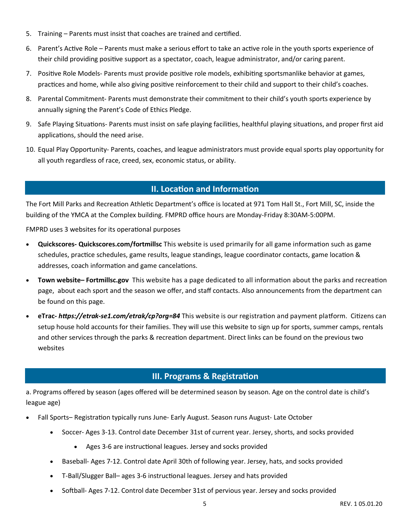- 5. Training Parents must insist that coaches are trained and certified.
- 6. Parent's Active Role Parents must make a serious effort to take an active role in the youth sports experience of their child providing positive support as a spectator, coach, league administrator, and/or caring parent.
- 7. Positive Role Models- Parents must provide positive role models, exhibiting sportsmanlike behavior at games, practices and home, while also giving positive reinforcement to their child and support to their child's coaches.
- 8. Parental Commitment- Parents must demonstrate their commitment to their child's youth sports experience by annually signing the Parent's Code of Ethics Pledge.
- 9. Safe Playing Situations- Parents must insist on safe playing facilities, healthful playing situations, and proper first aid applications, should the need arise.
- 10. Equal Play Opportunity- Parents, coaches, and league administrators must provide equal sports play opportunity for all youth regardless of race, creed, sex, economic status, or ability.

## **II. Location and Information**

The Fort Mill Parks and Recreation Athletic Department's office is located at 971 Tom Hall St., Fort Mill, SC, inside the building of the YMCA at the Complex building. FMPRD office hours are Monday-Friday 8:30AM-5:00PM.

FMPRD uses 3 websites for its operational purposes

- **Quickscores- Quickscores.com/fortmillsc** This website is used primarily for all game information such as game schedules, practice schedules, game results, league standings, league coordinator contacts, game location & addresses, coach information and game cancelations.
- **Town website– Fortmillsc.gov** This website has a page dedicated to all information about the parks and recreation page, about each sport and the season we offer, and staff contacts. Also announcements from the department can be found on this page.
- **eTrac-** *https://etrak-se1.com/etrak/cp?org=84* This website is our registration and payment platform. Citizens can setup house hold accounts for their families. They will use this website to sign up for sports, summer camps, rentals and other services through the parks & recreation department. Direct links can be found on the previous two websites

## **III. Programs & Registration**

a. Programs offered by season (ages offered will be determined season by season. Age on the control date is child's league age)

- Fall Sports– Registration typically runs June- Early August. Season runs August- Late October
	- Soccer- Ages 3-13. Control date December 31st of current year. Jersey, shorts, and socks provided
		- Ages 3-6 are instructional leagues. Jersey and socks provided
	- Baseball- Ages 7-12. Control date April 30th of following year. Jersey, hats, and socks provided
	- T-Ball/Slugger Ball– ages 3-6 instructional leagues. Jersey and hats provided
	- Softball- Ages 7-12. Control date December 31st of pervious year. Jersey and socks provided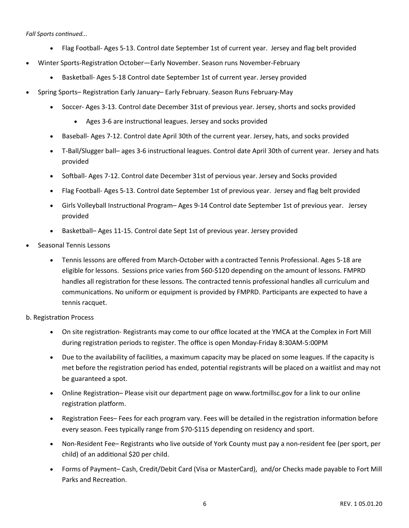*Fall Sports continued...*

- Flag Football- Ages 5-13. Control date September 1st of current year. Jersey and flag belt provided
- Winter Sports-Registration October—Early November. Season runs November-February
	- Basketball- Ages 5-18 Control date September 1st of current year. Jersey provided
- Spring Sports– Registration Early January– Early February. Season Runs February-May
	- Soccer- Ages 3-13. Control date December 31st of previous year. Jersey, shorts and socks provided
		- Ages 3-6 are instructional leagues. Jersey and socks provided
	- Baseball- Ages 7-12. Control date April 30th of the current year. Jersey, hats, and socks provided
	- T-Ball/Slugger ball– ages 3-6 instructional leagues. Control date April 30th of current year. Jersey and hats provided
	- Softball- Ages 7-12. Control date December 31st of pervious year. Jersey and Socks provided
	- Flag Football- Ages 5-13. Control date September 1st of previous year. Jersey and flag belt provided
	- Girls Volleyball Instructional Program– Ages 9-14 Control date September 1st of previous year. Jersey provided
	- Basketball– Ages 11-15. Control date Sept 1st of previous year. Jersey provided
- Seasonal Tennis Lessons
	- Tennis lessons are offered from March-October with a contracted Tennis Professional. Ages 5-18 are eligible for lessons. Sessions price varies from \$60-\$120 depending on the amount of lessons. FMPRD handles all registration for these lessons. The contracted tennis professional handles all curriculum and communications. No uniform or equipment is provided by FMPRD. Participants are expected to have a tennis racquet.

#### b. Registration Process

- On site registration- Registrants may come to our office located at the YMCA at the Complex in Fort Mill during registration periods to register. The office is open Monday-Friday 8:30AM-5:00PM
- Due to the availability of facilities, a maximum capacity may be placed on some leagues. If the capacity is met before the registration period has ended, potential registrants will be placed on a waitlist and may not be guaranteed a spot.
- Online Registration– Please visit our department page on www.fortmillsc.gov for a link to our online registration platform.
- Registration Fees– Fees for each program vary. Fees will be detailed in the registration information before every season. Fees typically range from \$70-\$115 depending on residency and sport.
- Non-Resident Fee– Registrants who live outside of York County must pay a non-resident fee (per sport, per child) of an additional \$20 per child.
- Forms of Payment– Cash, Credit/Debit Card (Visa or MasterCard), and/or Checks made payable to Fort Mill Parks and Recreation.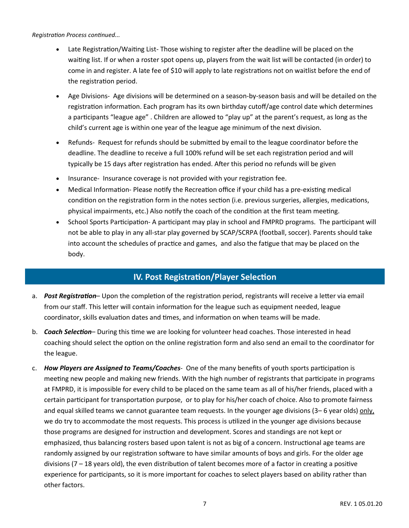#### *Registration Process continued...*

- Late Registration/Waiting List- Those wishing to register after the deadline will be placed on the waiting list. If or when a roster spot opens up, players from the wait list will be contacted (in order) to come in and register. A late fee of \$10 will apply to late registrations not on waitlist before the end of the registration period.
- Age Divisions- Age divisions will be determined on a season-by-season basis and will be detailed on the registration information. Each program has its own birthday cutoff/age control date which determines a participants "league age" . Children are allowed to "play up" at the parent's request, as long as the child's current age is within one year of the league age minimum of the next division.
- Refunds- Request for refunds should be submitted by email to the league coordinator before the deadline. The deadline to receive a full 100% refund will be set each registration period and will typically be 15 days after registration has ended. After this period no refunds will be given
- Insurance- Insurance coverage is not provided with your registration fee.
- Medical Information- Please notify the Recreation office if your child has a pre-existing medical condition on the registration form in the notes section (i.e. previous surgeries, allergies, medications, physical impairments, etc.) Also notify the coach of the condition at the first team meeting.
- School Sports Participation- A participant may play in school and FMPRD programs. The participant will not be able to play in any all-star play governed by SCAP/SCRPA (football, soccer). Parents should take into account the schedules of practice and games, and also the fatigue that may be placed on the body.

## **IV. Post Registration/Player Selection**

- a. *Post Registration* Upon the completion of the registration period, registrants will receive a letter via email from our staff. This letter will contain information for the league such as equipment needed, league coordinator, skills evaluation dates and times, and information on when teams will be made.
- b. *Coach Selection* During this time we are looking for volunteer head coaches. Those interested in head coaching should select the option on the online registration form and also send an email to the coordinator for the league.
- c. *How Players are Assigned to Teams/Coaches-* One of the many benefits of youth sports participation is meeting new people and making new friends. With the high number of registrants that participate in programs at FMPRD, it is impossible for every child to be placed on the same team as all of his/her friends, placed with a certain participant for transportation purpose, or to play for his/her coach of choice. Also to promote fairness and equal skilled teams we cannot guarantee team requests. In the younger age divisions (3–6 year olds) only, we do try to accommodate the most requests. This process is utilized in the younger age divisions because those programs are designed for instruction and development. Scores and standings are not kept or emphasized, thus balancing rosters based upon talent is not as big of a concern. Instructional age teams are randomly assigned by our registration software to have similar amounts of boys and girls. For the older age divisions (7 – 18 years old), the even distribution of talent becomes more of a factor in creating a positive experience for participants, so it is more important for coaches to select players based on ability rather than other factors.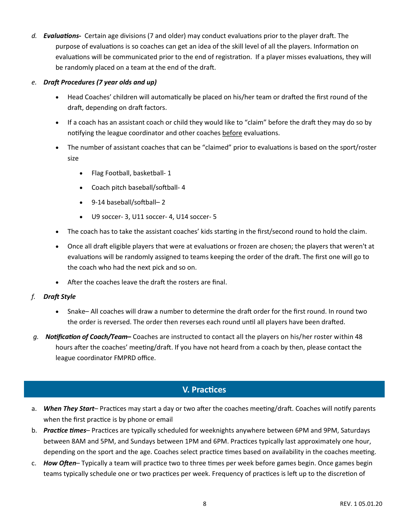*d. Evaluations-* Certain age divisions (7 and older) may conduct evaluations prior to the player draft. The purpose of evaluations is so coaches can get an idea of the skill level of all the players. Information on evaluations will be communicated prior to the end of registration. If a player misses evaluations, they will be randomly placed on a team at the end of the draft.

#### *e. Draft Procedures (7 year olds and up)*

- Head Coaches' children will automatically be placed on his/her team or drafted the first round of the draft, depending on draft factors.
- If a coach has an assistant coach or child they would like to "claim" before the draft they may do so by notifying the league coordinator and other coaches before evaluations.
- The number of assistant coaches that can be "claimed" prior to evaluations is based on the sport/roster size
	- Flag Football, basketball- 1
	- Coach pitch baseball/softball- 4
	- 9-14 baseball/softball– 2
	- U9 soccer- 3, U11 soccer- 4, U14 soccer- 5
- The coach has to take the assistant coaches' kids starting in the first/second round to hold the claim.
- Once all draft eligible players that were at evaluations or frozen are chosen; the players that weren't at evaluations will be randomly assigned to teams keeping the order of the draft. The first one will go to the coach who had the next pick and so on.
- After the coaches leave the draft the rosters are final.
- *f. Draft Style*
	- Snake– All coaches will draw a number to determine the draft order for the first round. In round two the order is reversed. The order then reverses each round until all players have been drafted.
- *g. Notification of Coach/Team***–** Coaches are instructed to contact all the players on his/her roster within 48 hours after the coaches' meeting/draft. If you have not heard from a coach by then, please contact the league coordinator FMPRD office.

## **V. Practices**

- a. *When They Start* Practices may start a day or two after the coaches meeting/draft. Coaches will notify parents when the first practice is by phone or email
- b. *Practice times* Practices are typically scheduled for weeknights anywhere between 6PM and 9PM, Saturdays between 8AM and 5PM, and Sundays between 1PM and 6PM. Practices typically last approximately one hour, depending on the sport and the age. Coaches select practice times based on availability in the coaches meeting.
- c. *How Often* Typically a team will practice two to three times per week before games begin. Once games begin teams typically schedule one or two practices per week. Frequency of practices is left up to the discretion of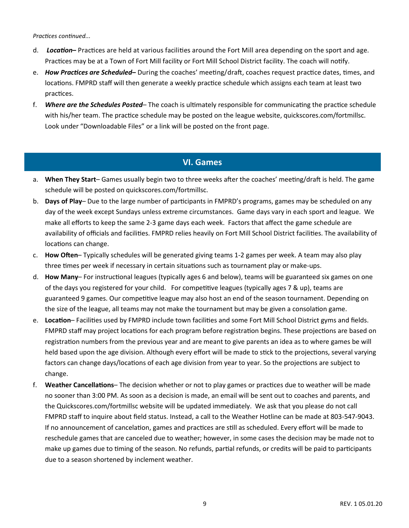*Practices continued...*

- d. *Location***–** Practices are held at various facilities around the Fort Mill area depending on the sport and age. Practices may be at a Town of Fort Mill facility or Fort Mill School District facility. The coach will notify.
- e. *How Practices are Scheduled***–** During the coaches' meeting/draft, coaches request practice dates, times, and locations. FMPRD staff will then generate a weekly practice schedule which assigns each team at least two practices.
- f. *Where are the Schedules Posted* The coach is ultimately responsible for communicating the practice schedule with his/her team. The practice schedule may be posted on the league website, quickscores.com/fortmillsc. Look under "Downloadable Files" or a link will be posted on the front page.

## **VI. Games**

- a. **When They Start** Games usually begin two to three weeks after the coaches' meeting/draft is held. The game schedule will be posted on quickscores.com/fortmillsc.
- b. **Days of Play** Due to the large number of participants in FMPRD's programs, games may be scheduled on any day of the week except Sundays unless extreme circumstances. Game days vary in each sport and league. We make all efforts to keep the same 2-3 game days each week. Factors that affect the game schedule are availability of officials and facilities. FMPRD relies heavily on Fort Mill School District facilities. The availability of locations can change.
- c. **How Often** Typically schedules will be generated giving teams 1-2 games per week. A team may also play three times per week if necessary in certain situations such as tournament play or make-ups.
- d. **How Many** For instructional leagues (typically ages 6 and below), teams will be guaranteed six games on one of the days you registered for your child. For competitive leagues (typically ages 7 & up), teams are guaranteed 9 games. Our competitive league may also host an end of the season tournament. Depending on the size of the league, all teams may not make the tournament but may be given a consolation game.
- e. **Location** Facilities used by FMPRD include town facilities and some Fort Mill School District gyms and fields. FMPRD staff may project locations for each program before registration begins. These projections are based on registration numbers from the previous year and are meant to give parents an idea as to where games be will held based upon the age division. Although every effort will be made to stick to the projections, several varying factors can change days/locations of each age division from year to year. So the projections are subject to change.
- f. **Weather Cancellations** The decision whether or not to play games or practices due to weather will be made no sooner than 3:00 PM. As soon as a decision is made, an email will be sent out to coaches and parents, and the Quickscores.com/fortmillsc website will be updated immediately. We ask that you please do not call FMPRD staff to inquire about field status. Instead, a call to the Weather Hotline can be made at 803-547-9043. If no announcement of cancelation, games and practices are still as scheduled. Every effort will be made to reschedule games that are canceled due to weather; however, in some cases the decision may be made not to make up games due to timing of the season. No refunds, partial refunds, or credits will be paid to participants due to a season shortened by inclement weather.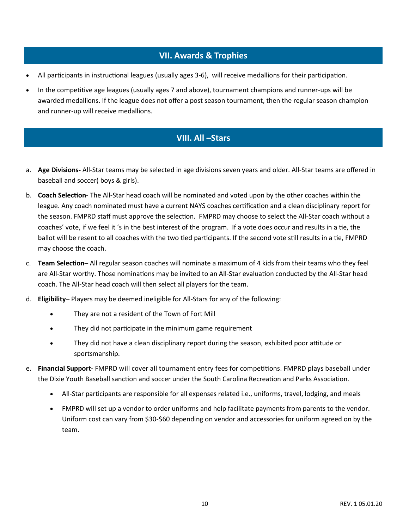## **VII. Awards & Trophies**

- All participants in instructional leagues (usually ages 3-6), will receive medallions for their participation.
- In the competitive age leagues (usually ages 7 and above), tournament champions and runner-ups will be awarded medallions. If the league does not offer a post season tournament, then the regular season champion and runner-up will receive medallions.

## **VIII. All –Stars**

- a. **Age Divisions-** All-Star teams may be selected in age divisions seven years and older. All-Star teams are offered in baseball and soccer( boys & girls).
- b. **Coach Selection** The All-Star head coach will be nominated and voted upon by the other coaches within the league. Any coach nominated must have a current NAYS coaches certification and a clean disciplinary report for the season. FMPRD staff must approve the selection. FMPRD may choose to select the All-Star coach without a coaches' vote, if we feel it 's in the best interest of the program. If a vote does occur and results in a tie, the ballot will be resent to all coaches with the two tied participants. If the second vote still results in a tie, FMPRD may choose the coach.
- c. **Team Selection** All regular season coaches will nominate a maximum of 4 kids from their teams who they feel are All-Star worthy. Those nominations may be invited to an All-Star evaluation conducted by the All-Star head coach. The All-Star head coach will then select all players for the team.
- d. **Eligibility** Players may be deemed ineligible for All-Stars for any of the following:
	- They are not a resident of the Town of Fort Mill
	- They did not participate in the minimum game requirement
	- They did not have a clean disciplinary report during the season, exhibited poor attitude or sportsmanship.
- e. **Financial Support-** FMPRD will cover all tournament entry fees for competitions. FMPRD plays baseball under the Dixie Youth Baseball sanction and soccer under the South Carolina Recreation and Parks Association.
	- All-Star participants are responsible for all expenses related i.e., uniforms, travel, lodging, and meals
	- FMPRD will set up a vendor to order uniforms and help facilitate payments from parents to the vendor. Uniform cost can vary from \$30-\$60 depending on vendor and accessories for uniform agreed on by the team.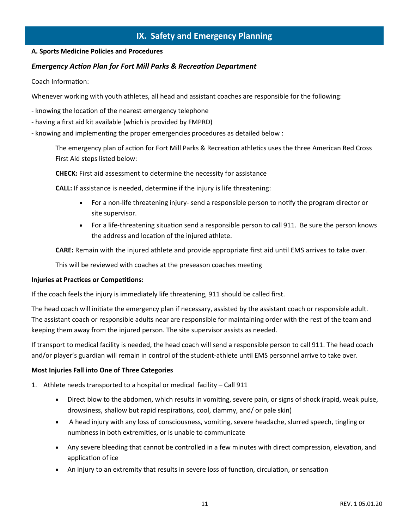## **IX. Safety and Emergency Planning**

#### **A. Sports Medicine Policies and Procedures**

#### *Emergency Action Plan for Fort Mill Parks & Recreation Department*

Coach Information:

Whenever working with youth athletes, all head and assistant coaches are responsible for the following:

- knowing the location of the nearest emergency telephone
- having a first aid kit available (which is provided by FMPRD)
- knowing and implementing the proper emergencies procedures as detailed below :

The emergency plan of action for Fort Mill Parks & Recreation athletics uses the three American Red Cross First Aid steps listed below:

**CHECK:** First aid assessment to determine the necessity for assistance

**CALL:** If assistance is needed, determine if the injury is life threatening:

- For a non-life threatening injury- send a responsible person to notify the program director or site supervisor.
- For a life-threatening situation send a responsible person to call 911. Be sure the person knows the address and location of the injured athlete.

**CARE:** Remain with the injured athlete and provide appropriate first aid until EMS arrives to take over.

This will be reviewed with coaches at the preseason coaches meeting

#### **Injuries at Practices or Competitions:**

If the coach feels the injury is immediately life threatening, 911 should be called first.

The head coach will initiate the emergency plan if necessary, assisted by the assistant coach or responsible adult. The assistant coach or responsible adults near are responsible for maintaining order with the rest of the team and keeping them away from the injured person. The site supervisor assists as needed.

If transport to medical facility is needed, the head coach will send a responsible person to call 911. The head coach and/or player's guardian will remain in control of the student-athlete until EMS personnel arrive to take over.

#### **Most Injuries Fall into One of Three Categories**

- 1. Athlete needs transported to a hospital or medical facility Call 911
	- Direct blow to the abdomen, which results in vomiting, severe pain, or signs of shock (rapid, weak pulse, drowsiness, shallow but rapid respirations, cool, clammy, and/ or pale skin)
	- A head injury with any loss of consciousness, vomiting, severe headache, slurred speech, tingling or numbness in both extremities, or is unable to communicate
	- Any severe bleeding that cannot be controlled in a few minutes with direct compression, elevation, and application of ice
	- An injury to an extremity that results in severe loss of function, circulation, or sensation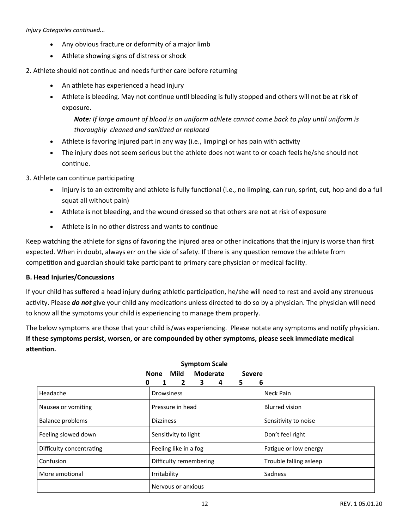*Injury Categories continued...*

- Any obvious fracture or deformity of a major limb
- Athlete showing signs of distress or shock

#### 2. Athlete should not continue and needs further care before returning

- An athlete has experienced a head injury
- Athlete is bleeding. May not continue until bleeding is fully stopped and others will not be at risk of exposure.

## *Note: If large amount of blood is on uniform athlete cannot come back to play until uniform is thoroughly cleaned and sanitized or replaced*

- Athlete is favoring injured part in any way (i.e., limping) or has pain with activity
- The injury does not seem serious but the athlete does not want to or coach feels he/she should not continue.

#### 3. Athlete can continue participating

- Injury is to an extremity and athlete is fully functional (i.e., no limping, can run, sprint, cut, hop and do a full squat all without pain)
- Athlete is not bleeding, and the wound dressed so that others are not at risk of exposure
- Athlete is in no other distress and wants to continue

Keep watching the athlete for signs of favoring the injured area or other indications that the injury is worse than first expected. When in doubt, always err on the side of safety. If there is any question remove the athlete from competition and guardian should take participant to primary care physician or medical facility.

#### **B. Head Injuries/Concussions**

If your child has suffered a head injury during athletic participation, he/she will need to rest and avoid any strenuous activity. Please *do not* give your child any medications unless directed to do so by a physician. The physician will need to know all the symptoms your child is experiencing to manage them properly.

The below symptoms are those that your child is/was experiencing. Please notate any symptoms and notify physician. **If these symptoms persist, worsen, or are compounded by other symptoms, please seek immediate medical attention.** 

| .<br><br><br><b>JLVLIL</b> |                            |                        |
|----------------------------|----------------------------|------------------------|
| 0                          | 2<br>3<br>6<br>1<br>4<br>5 |                        |
| Headache                   | <b>Drowsiness</b>          | Neck Pain              |
| Nausea or vomiting         | Pressure in head           | <b>Blurred vision</b>  |
| <b>Balance problems</b>    | <b>Dizziness</b>           | Sensitivity to noise   |
| Feeling slowed down        | Sensitivity to light       | Don't feel right       |
| Difficulty concentrating   | Feeling like in a fog      | Fatigue or low energy  |
| Confusion                  | Difficulty remembering     | Trouble falling asleep |
| More emotional             | Irritability               | Sadness                |
|                            | Nervous or anxious         |                        |

#### **Symptom Scale None Mild Moderate Severe**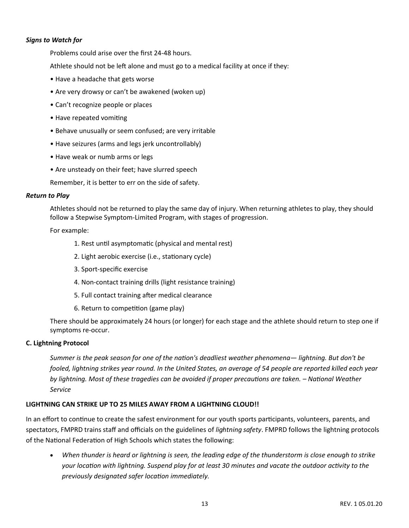#### *Signs to Watch for*

Problems could arise over the first 24-48 hours.

Athlete should not be left alone and must go to a medical facility at once if they:

- Have a headache that gets worse
- Are very drowsy or can't be awakened (woken up)
- Can't recognize people or places
- Have repeated vomiting
- Behave unusually or seem confused; are very irritable
- Have seizures (arms and legs jerk uncontrollably)
- Have weak or numb arms or legs
- Are unsteady on their feet; have slurred speech

Remember, it is better to err on the side of safety.

#### *Return to Play*

Athletes should not be returned to play the same day of injury. When returning athletes to play, they should follow a Stepwise Symptom-Limited Program, with stages of progression.

For example:

- 1. Rest until asymptomatic (physical and mental rest)
- 2. Light aerobic exercise (i.e., stationary cycle)
- 3. Sport-specific exercise
- 4. Non-contact training drills (light resistance training)
- 5. Full contact training after medical clearance
- 6. Return to competition (game play)

There should be approximately 24 hours (or longer) for each stage and the athlete should return to step one if symptoms re-occur.

#### **C. Lightning Protocol**

*Summer is the peak season for one of the nation's deadliest weather phenomena— lightning. But don't be fooled, lightning strikes year round. In the United States, an average of 54 people are reported killed each year by lightning. Most of these tragedies can be avoided if proper precautions are taken. – National Weather Service* 

#### **LIGHTNING CAN STRIKE UP TO 25 MILES AWAY FROM A LIGHTNING CLOUD!!**

In an effort to continue to create the safest environment for our youth sports participants, volunteers, parents, and spectators, FMPRD trains staff and officials on the guidelines of *lightning safety*. FMPRD follows the lightning protocols of the National Federation of High Schools which states the following:

 *When thunder is heard or lightning is seen, the leading edge of the thunderstorm is close enough to strike your location with lightning. Suspend play for at least 30 minutes and vacate the outdoor activity to the previously designated safer location immediately.*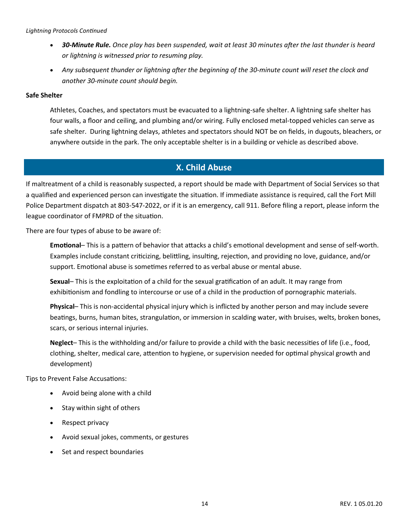#### *Lightning Protocols Continued*

- *30-Minute Rule. Once play has been suspended, wait at least 30 minutes after the last thunder is heard or lightning is witnessed prior to resuming play.*
- *Any subsequent thunder or lightning after the beginning of the 30-minute count will reset the clock and another 30-minute count should begin.*

#### **Safe Shelter**

Athletes, Coaches, and spectators must be evacuated to a lightning-safe shelter. A lightning safe shelter has four walls, a floor and ceiling, and plumbing and/or wiring. Fully enclosed metal-topped vehicles can serve as safe shelter. During lightning delays, athletes and spectators should NOT be on fields, in dugouts, bleachers, or anywhere outside in the park. The only acceptable shelter is in a building or vehicle as described above.

## **X. Child Abuse**

If maltreatment of a child is reasonably suspected, a report should be made with Department of Social Services so that a qualified and experienced person can investigate the situation. If immediate assistance is required, call the Fort Mill Police Department dispatch at 803-547-2022, or if it is an emergency, call 911. Before filing a report, please inform the league coordinator of FMPRD of the situation.

There are four types of abuse to be aware of:

**Emotional**– This is a pattern of behavior that attacks a child's emotional development and sense of self-worth. Examples include constant criticizing, belittling, insulting, rejection, and providing no love, guidance, and/or support. Emotional abuse is sometimes referred to as verbal abuse or mental abuse.

**Sexual**– This is the exploitation of a child for the sexual gratification of an adult. It may range from exhibitionism and fondling to intercourse or use of a child in the production of pornographic materials.

**Physical**– This is non-accidental physical injury which is inflicted by another person and may include severe beatings, burns, human bites, strangulation, or immersion in scalding water, with bruises, welts, broken bones, scars, or serious internal injuries.

**Neglect**– This is the withholding and/or failure to provide a child with the basic necessities of life (i.e., food, clothing, shelter, medical care, attention to hygiene, or supervision needed for optimal physical growth and development)

Tips to Prevent False Accusations:

- Avoid being alone with a child
- Stay within sight of others
- Respect privacy
- Avoid sexual jokes, comments, or gestures
- Set and respect boundaries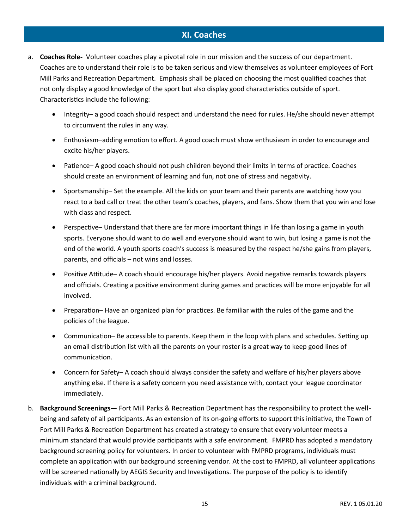## **XI. Coaches**

- a. **Coaches Role-** Volunteer coaches play a pivotal role in our mission and the success of our department. Coaches are to understand their role is to be taken serious and view themselves as volunteer employees of Fort Mill Parks and Recreation Department. Emphasis shall be placed on choosing the most qualified coaches that not only display a good knowledge of the sport but also display good characteristics outside of sport. Characteristics include the following:
	- Integrity– a good coach should respect and understand the need for rules. He/she should never attempt to circumvent the rules in any way.
	- Enthusiasm–adding emotion to effort. A good coach must show enthusiasm in order to encourage and excite his/her players.
	- Patience– A good coach should not push children beyond their limits in terms of practice. Coaches should create an environment of learning and fun, not one of stress and negativity.
	- Sportsmanship– Set the example. All the kids on your team and their parents are watching how you react to a bad call or treat the other team's coaches, players, and fans. Show them that you win and lose with class and respect.
	- Perspective– Understand that there are far more important things in life than losing a game in youth sports. Everyone should want to do well and everyone should want to win, but losing a game is not the end of the world. A youth sports coach's success is measured by the respect he/she gains from players, parents, and officials – not wins and losses.
	- Positive Attitude– A coach should encourage his/her players. Avoid negative remarks towards players and officials. Creating a positive environment during games and practices will be more enjoyable for all involved.
	- Preparation– Have an organized plan for practices. Be familiar with the rules of the game and the policies of the league.
	- Communication– Be accessible to parents. Keep them in the loop with plans and schedules. Setting up an email distribution list with all the parents on your roster is a great way to keep good lines of communication.
	- Concern for Safety– A coach should always consider the safety and welfare of his/her players above anything else. If there is a safety concern you need assistance with, contact your league coordinator immediately.
- b. **Background Screenings—** Fort Mill Parks & Recreation Department has the responsibility to protect the wellbeing and safety of all participants. As an extension of its on-going efforts to support this initiative, the Town of Fort Mill Parks & Recreation Department has created a strategy to ensure that every volunteer meets a minimum standard that would provide participants with a safe environment. FMPRD has adopted a mandatory background screening policy for volunteers. In order to volunteer with FMPRD programs, individuals must complete an application with our background screening vendor. At the cost to FMPRD, all volunteer applications will be screened nationally by AEGIS Security and Investigations. The purpose of the policy is to identify individuals with a criminal background.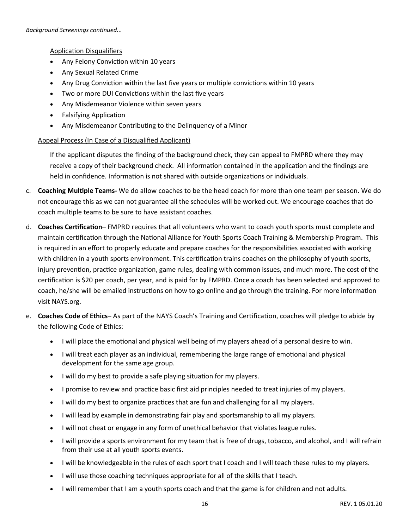Application Disqualifiers

- Any Felony Conviction within 10 years
- Any Sexual Related Crime
- Any Drug Conviction within the last five years or multiple convictions within 10 years
- Two or more DUI Convictions within the last five years
- Any Misdemeanor Violence within seven years
- Falsifying Application
- Any Misdemeanor Contributing to the Delinquency of a Minor

#### Appeal Process (In Case of a Disqualified Applicant)

If the applicant disputes the finding of the background check, they can appeal to FMPRD where they may receive a copy of their background check.All information contained in the application and the findings are held in confidence. Information is not shared with outside organizations or individuals.

- c. **Coaching Multiple Teams-** We do allow coaches to be the head coach for more than one team per season. We do not encourage this as we can not guarantee all the schedules will be worked out. We encourage coaches that do coach multiple teams to be sure to have assistant coaches.
- d. **Coaches Certification–** FMPRD requires that all volunteers who want to coach youth sports must complete and maintain certification through the National Alliance for Youth Sports Coach Training & Membership Program. This is required in an effort to properly educate and prepare coaches for the responsibilities associated with working with children in a youth sports environment. This certification trains coaches on the philosophy of youth sports, injury prevention, practice organization, game rules, dealing with common issues, and much more. The cost of the certification is \$20 per coach, per year, and is paid for by FMPRD. Once a coach has been selected and approved to coach, he/she will be emailed instructions on how to go online and go through the training. For more information visit NAYS.org.
- e. **Coaches Code of Ethics–** As part of the NAYS Coach's Training and Certification, coaches will pledge to abide by the following Code of Ethics:
	- I will place the emotional and physical well being of my players ahead of a personal desire to win.
	- I will treat each player as an individual, remembering the large range of emotional and physical development for the same age group.
	- I will do my best to provide a safe playing situation for my players.
	- I promise to review and practice basic first aid principles needed to treat injuries of my players.
	- I will do my best to organize practices that are fun and challenging for all my players.
	- I will lead by example in demonstrating fair play and sportsmanship to all my players.
	- I will not cheat or engage in any form of unethical behavior that violates league rules.
	- I will provide a sports environment for my team that is free of drugs, tobacco, and alcohol, and I will refrain from their use at all youth sports events.
	- I will be knowledgeable in the rules of each sport that I coach and I will teach these rules to my players.
	- I will use those coaching techniques appropriate for all of the skills that I teach.
	- I will remember that I am a youth sports coach and that the game is for children and not adults.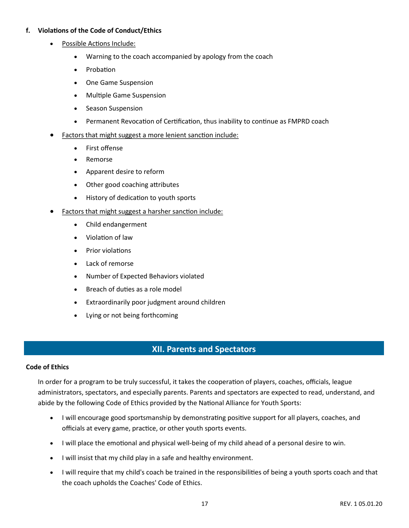#### **f. Violations of the Code of Conduct/Ethics**

- Possible Actions Include:
	- Warning to the coach accompanied by apology from the coach
	- Probation
	- One Game Suspension
	- Multiple Game Suspension
	- Season Suspension
	- Permanent Revocation of Certification, thus inability to continue as FMPRD coach
- Factors that might suggest a more lenient sanction include:
	- First offense
	- Remorse
	- Apparent desire to reform
	- Other good coaching attributes
	- History of dedication to youth sports
- Factors that might suggest a harsher sanction include:
	- Child endangerment
	- Violation of law
	- Prior violations
	- Lack of remorse
	- Number of Expected Behaviors violated
	- Breach of duties as a role model
	- Extraordinarily poor judgment around children
	- Lying or not being forthcoming

## **XII. Parents and Spectators**

#### **Code of Ethics**

In order for a program to be truly successful, it takes the cooperation of players, coaches, officials, league administrators, spectators, and especially parents. Parents and spectators are expected to read, understand, and abide by the following Code of Ethics provided by the National Alliance for Youth Sports:

- I will encourage good sportsmanship by demonstrating positive support for all players, coaches, and officials at every game, practice, or other youth sports events.
- I will place the emotional and physical well-being of my child ahead of a personal desire to win.
- I will insist that my child play in a safe and healthy environment.
- I will require that my child's coach be trained in the responsibilities of being a youth sports coach and that the coach upholds the Coaches' Code of Ethics.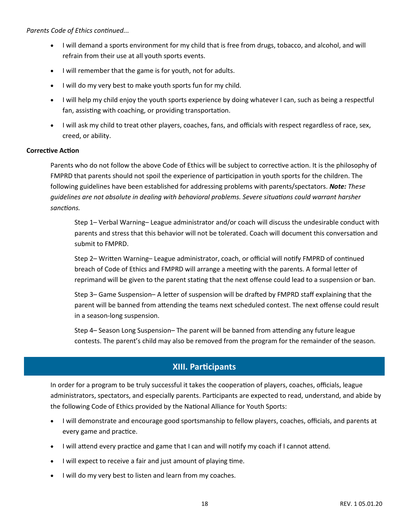*Parents Code of Ethics continued...*

- I will demand a sports environment for my child that is free from drugs, tobacco, and alcohol, and will refrain from their use at all youth sports events.
- I will remember that the game is for youth, not for adults.
- I will do my very best to make youth sports fun for my child.
- I will help my child enjoy the youth sports experience by doing whatever I can, such as being a respectful fan, assisting with coaching, or providing transportation.
- I will ask my child to treat other players, coaches, fans, and officials with respect regardless of race, sex, creed, or ability.

#### **Corrective Action**

Parents who do not follow the above Code of Ethics will be subject to corrective action. It is the philosophy of FMPRD that parents should not spoil the experience of participation in youth sports for the children. The following guidelines have been established for addressing problems with parents/spectators. *Note: These guidelines are not absolute in dealing with behavioral problems. Severe situations could warrant harsher sanctions.* 

Step 1– Verbal Warning– League administrator and/or coach will discuss the undesirable conduct with parents and stress that this behavior will not be tolerated. Coach will document this conversation and submit to FMPRD.

Step 2– Written Warning– League administrator, coach, or official will notify FMPRD of continued breach of Code of Ethics and FMPRD will arrange a meeting with the parents. A formal letter of reprimand will be given to the parent stating that the next offense could lead to a suspension or ban.

Step 3– Game Suspension– A letter of suspension will be drafted by FMPRD staff explaining that the parent will be banned from attending the teams next scheduled contest. The next offense could result in a season-long suspension.

Step 4– Season Long Suspension– The parent will be banned from attending any future league contests. The parent's child may also be removed from the program for the remainder of the season.

## **XIII. Participants**

In order for a program to be truly successful it takes the cooperation of players, coaches, officials, league administrators, spectators, and especially parents. Participants are expected to read, understand, and abide by the following Code of Ethics provided by the National Alliance for Youth Sports:

- I will demonstrate and encourage good sportsmanship to fellow players, coaches, officials, and parents at every game and practice.
- I will attend every practice and game that I can and will notify my coach if I cannot attend.
- I will expect to receive a fair and just amount of playing time.
- I will do my very best to listen and learn from my coaches.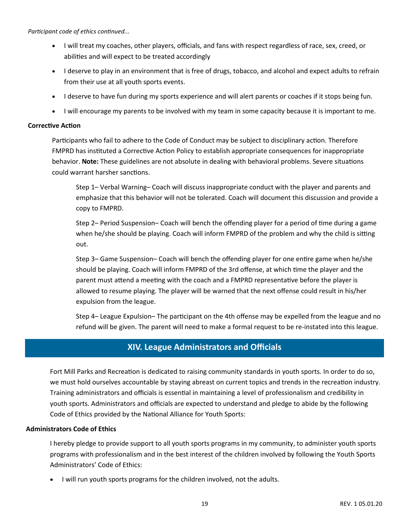*Participant code of ethics continued...*

- I will treat my coaches, other players, officials, and fans with respect regardless of race, sex, creed, or abilities and will expect to be treated accordingly
- I deserve to play in an environment that is free of drugs, tobacco, and alcohol and expect adults to refrain from their use at all youth sports events.
- I deserve to have fun during my sports experience and will alert parents or coaches if it stops being fun.
- I will encourage my parents to be involved with my team in some capacity because it is important to me.

#### **Corrective Action**

Participants who fail to adhere to the Code of Conduct may be subject to disciplinary action. Therefore FMPRD has instituted a Corrective Action Policy to establish appropriate consequences for inappropriate behavior. **Note:** These guidelines are not absolute in dealing with behavioral problems. Severe situations could warrant harsher sanctions.

Step 1– Verbal Warning– Coach will discuss inappropriate conduct with the player and parents and emphasize that this behavior will not be tolerated. Coach will document this discussion and provide a copy to FMPRD.

Step 2– Period Suspension– Coach will bench the offending player for a period of time during a game when he/she should be playing. Coach will inform FMPRD of the problem and why the child is sitting out.

Step 3– Game Suspension– Coach will bench the offending player for one entire game when he/she should be playing. Coach will inform FMPRD of the 3rd offense, at which time the player and the parent must attend a meeting with the coach and a FMPRD representative before the player is allowed to resume playing. The player will be warned that the next offense could result in his/her expulsion from the league.

Step 4– League Expulsion– The participant on the 4th offense may be expelled from the league and no refund will be given. The parent will need to make a formal request to be re-instated into this league.

## **XIV. League Administrators and Officials**

Fort Mill Parks and Recreation is dedicated to raising community standards in youth sports. In order to do so, we must hold ourselves accountable by staying abreast on current topics and trends in the recreation industry. Training administrators and officials is essential in maintaining a level of professionalism and credibility in youth sports. Administrators and officials are expected to understand and pledge to abide by the following Code of Ethics provided by the National Alliance for Youth Sports:

#### **Administrators Code of Ethics**

I hereby pledge to provide support to all youth sports programs in my community, to administer youth sports programs with professionalism and in the best interest of the children involved by following the Youth Sports Administrators' Code of Ethics:

I will run youth sports programs for the children involved, not the adults.